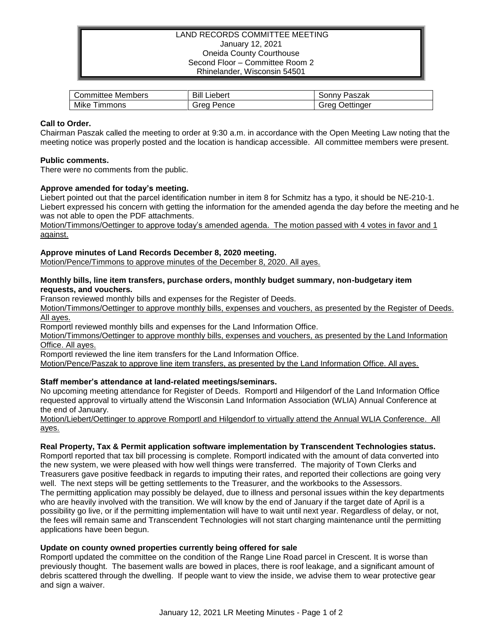## LAND RECORDS COMMITTEE MEETING January 12, 2021 Oneida County Courthouse Second Floor – Committee Room 2 Rhinelander, Wisconsin 54501

| Committee Members | Bill<br>Liebert | Paszak<br>' onnvٽ |
|-------------------|-----------------|-------------------|
| Mike              | Grea            | Jettinaer         |
| <b>Timmons</b>    | Pence           | orec              |

# **Call to Order.**

Chairman Paszak called the meeting to order at 9:30 a.m. in accordance with the Open Meeting Law noting that the meeting notice was properly posted and the location is handicap accessible. All committee members were present.

## **Public comments.**

There were no comments from the public.

# **Approve amended for today's meeting.**

Liebert pointed out that the parcel identification number in item 8 for Schmitz has a typo, it should be NE-210-1. Liebert expressed his concern with getting the information for the amended agenda the day before the meeting and he was not able to open the PDF attachments.

Motion/Timmons/Oettinger to approve today's amended agenda. The motion passed with 4 votes in favor and 1 against.

# **Approve minutes of Land Records December 8, 2020 meeting.**

Motion/Pence/Timmons to approve minutes of the December 8, 2020. All ayes.

## **Monthly bills, line item transfers, purchase orders, monthly budget summary, non-budgetary item requests, and vouchers.**

Franson reviewed monthly bills and expenses for the Register of Deeds.

Motion/Timmons/Oettinger to approve monthly bills, expenses and vouchers, as presented by the Register of Deeds. All ayes.

Romportl reviewed monthly bills and expenses for the Land Information Office.

Motion/Timmons/Oettinger to approve monthly bills, expenses and vouchers, as presented by the Land Information Office. All ayes.

Romportl reviewed the line item transfers for the Land Information Office.

Motion/Pence/Paszak to approve line item transfers, as presented by the Land Information Office. All ayes.

# **Staff member's attendance at land-related meetings/seminars.**

No upcoming meeting attendance for Register of Deeds. Romportl and Hilgendorf of the Land Information Office requested approval to virtually attend the Wisconsin Land Information Association (WLIA) Annual Conference at the end of January.

Motion/Liebert/Oettinger to approve Romportl and Hilgendorf to virtually attend the Annual WLIA Conference. All ayes.

#### **Real Property, Tax & Permit application software implementation by Transcendent Technologies status.**

Romportl reported that tax bill processing is complete. Romportl indicated with the amount of data converted into the new system, we were pleased with how well things were transferred. The majority of Town Clerks and Treasurers gave positive feedback in regards to imputing their rates, and reported their collections are going very well. The next steps will be getting settlements to the Treasurer, and the workbooks to the Assessors. The permitting application may possibly be delayed, due to illness and personal issues within the key departments who are heavily involved with the transition. We will know by the end of January if the target date of April is a possibility go live, or if the permitting implementation will have to wait until next year. Regardless of delay, or not, the fees will remain same and Transcendent Technologies will not start charging maintenance until the permitting applications have been begun.

#### **Update on county owned properties currently being offered for sale**

Romportl updated the committee on the condition of the Range Line Road parcel in Crescent. It is worse than previously thought. The basement walls are bowed in places, there is roof leakage, and a significant amount of debris scattered through the dwelling. If people want to view the inside, we advise them to wear protective gear and sign a waiver.